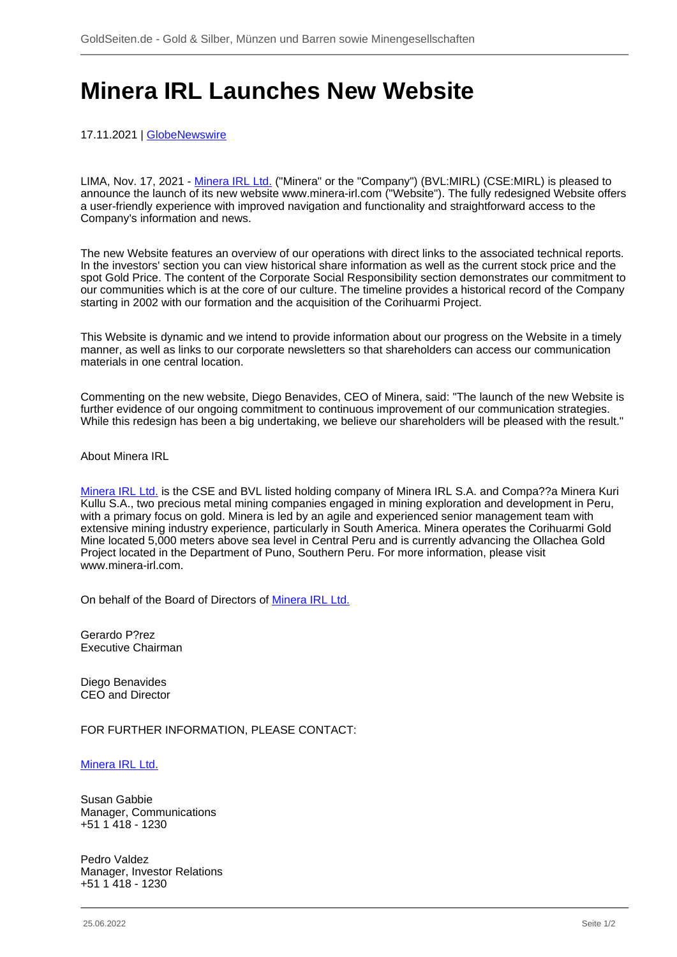## **Minera IRL Launches New Website**

17.11.2021 | [GlobeNewswire](/profil/261--GlobeNewswire)

LIMA, Nov. 17, 2021 - [Minera IRL Ltd.](/minen/1556--Minera-IRL-Ltd) ("Minera" or the "Company") (BVL:MIRL) (CSE:MIRL) is pleased to announce the launch of its new website www.minera-irl.com ("Website"). The fully redesigned Website offers a user-friendly experience with improved navigation and functionality and straightforward access to the Company's information and news.

The new Website features an overview of our operations with direct links to the associated technical reports. In the investors' section you can view historical share information as well as the current stock price and the spot Gold Price. The content of the Corporate Social Responsibility section demonstrates our commitment to our communities which is at the core of our culture. The timeline provides a historical record of the Company starting in 2002 with our formation and the acquisition of the Corihuarmi Project.

This Website is dynamic and we intend to provide information about our progress on the Website in a timely manner, as well as links to our corporate newsletters so that shareholders can access our communication materials in one central location.

Commenting on the new website, Diego Benavides, CEO of Minera, said: "The launch of the new Website is further evidence of our ongoing commitment to continuous improvement of our communication strategies. While this redesign has been a big undertaking, we believe our shareholders will be pleased with the result."

About Minera IRL

[Minera IRL Ltd.](/minen/1556--Minera-IRL-Ltd) is the CSE and BVL listed holding company of Minera IRL S.A. and Compa??a Minera Kuri Kullu S.A., two precious metal mining companies engaged in mining exploration and development in Peru, with a primary focus on gold. Minera is led by an agile and experienced senior management team with extensive mining industry experience, particularly in South America. Minera operates the Corihuarmi Gold Mine located 5,000 meters above sea level in Central Peru and is currently advancing the Ollachea Gold Project located in the Department of Puno, Southern Peru. For more information, please visit www.minera-irl.com.

On behalf of the Board of Directors of [Minera IRL Ltd.](/minen/1556--Minera-IRL-Ltd)

Gerardo P?rez Executive Chairman

Diego Benavides CEO and Director

FOR FURTHER INFORMATION, PLEASE CONTACT:

[Minera IRL Ltd.](/minen/1556--Minera-IRL-Ltd)

Susan Gabbie Manager, Communications +51 1 418 - 1230

Pedro Valdez Manager, Investor Relations +51 1 418 - 1230